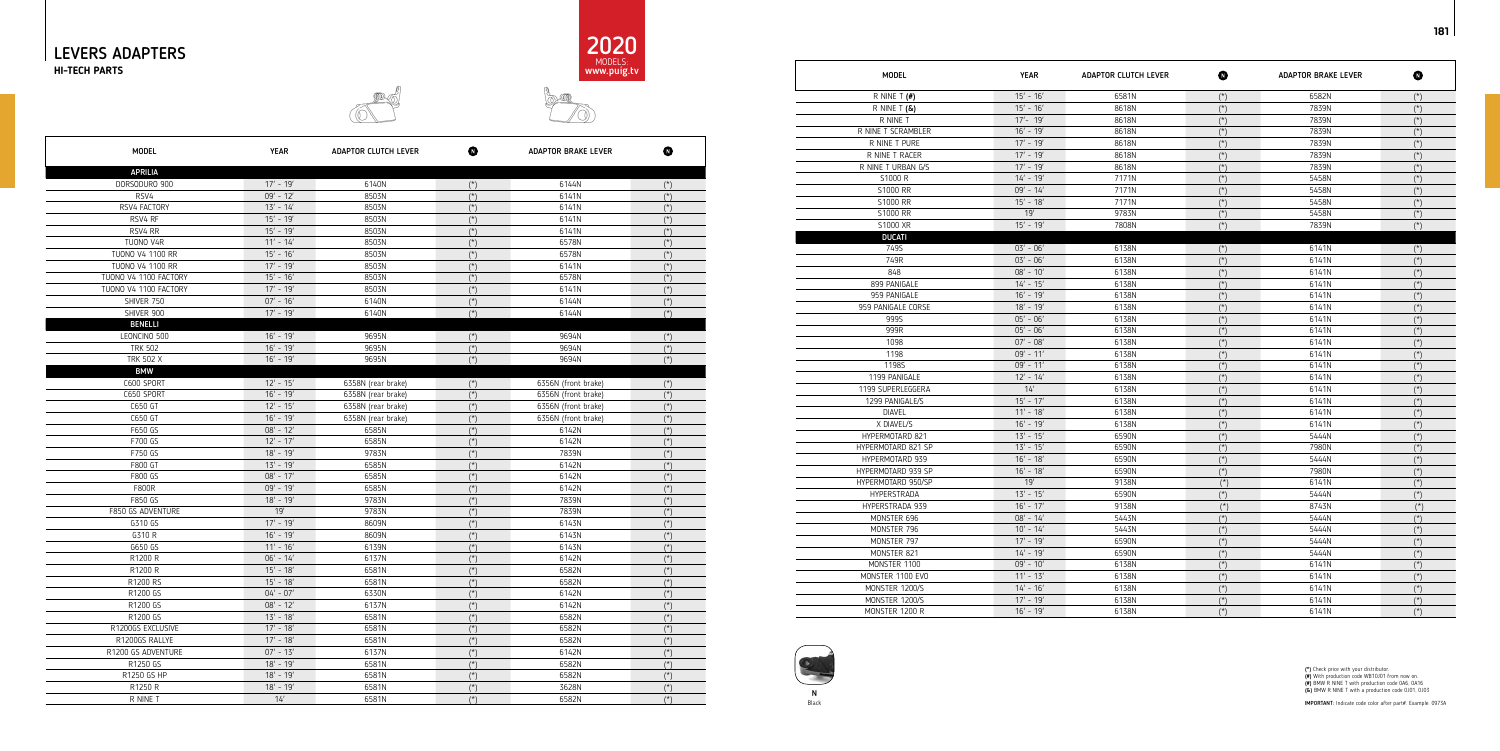



IMPORTANT: Indicate code color after part#. Example: 0973A





181

(\*) Check price with your distributor.<br>(#) With production code WB10J01 from now on.<br>(#) BMW R NINE T with production code 0A6, 0A16<br>(&) BMW R NINE T with a production code 0J01, 0J03

| MODEL                              |
|------------------------------------|
| R NINE T $($ #)                    |
| R NINE T <b>(&amp;)</b>            |
| R NINE T                           |
| R NINE T SCRAMBLER                 |
| R NINE T PURE                      |
| R NINE T RACER                     |
| R NINE T URBAN G/S                 |
| S1000 R                            |
| S1000 RR                           |
| S1000 RR                           |
| S1000 RR                           |
| S1000 XR                           |
| <b>DUCATI</b>                      |
| 749S                               |
| 749R                               |
| 848                                |
| 899 PANIGALE                       |
| 959 PANIGALE<br>959 PANIGALE CORSE |
| 9995                               |
| 999R                               |
| 1098                               |
| 1198                               |
| 1198S                              |
| 1199 PANIGALE                      |
| 1199 SUPERLEGGERA                  |
| 1299 PANIGALE/S                    |
| <b>DIAVEL</b>                      |
| X DIAVEL/S                         |
| <b>HYPERMOTARD 821</b>             |
| HYPERMOTARD 821 SP                 |
| HYPERMOTARD 939                    |
| HYPERMOTARD 939 SP                 |
| HYPERMOTARD 950/SP                 |
| <b>HYPERSTRADA</b>                 |
| HYPERSTRADA 939                    |
| MONSTER 696                        |
| MONSTER 796                        |
| MONSTER 797                        |
| MONSTER 821                        |
| MONSTER 1100                       |
| MONSTER 1100 EVO                   |
| MONSTER 1200/S                     |
| MONSTER 1200/S                     |
| MONSTER 1200 R                     |

| <b>MODEL</b>       | <b>YEAR</b> | <b>ADAPTOR CLUTCH LEVER</b> | ◐              | <b>ADAPTOR BRAKE LEVER</b> | ❶              |
|--------------------|-------------|-----------------------------|----------------|----------------------------|----------------|
| R NINE T $($ #)    | $15' - 16'$ | 6581N                       | $(*)$          | 6582N                      | $(*)$          |
| R NINE T $(8)$     | $15' - 16'$ | 8618N                       | $(*)$          | 7839N                      | $(*)$          |
| R NINE T           | $17' - 19'$ | 8618N                       | $(*)$          | 7839N                      | $(*)$          |
| R NINE T SCRAMBLER | $16' - 19'$ | 8618N                       | $(*)$          | 7839N                      | $(*)$          |
| R NINE T PURE      | $17' - 19'$ | 8618N                       | $(*)$          | 7839N                      | $(\star)$      |
| R NINE T RACER     | $17' - 19'$ | 8618N                       | $(*)$          | 7839N                      | $(\star)$      |
| R NINE T URBAN G/S | $17' - 19'$ | 8618N                       | $({}^{\star})$ | 7839N                      | $(\star)$      |
| S1000 R            | $14' - 19'$ | 7171N                       | $(\star)$      | 5458N                      | $(\star)$      |
| S1000 RR           | $09' - 14'$ | 7171N                       | $(*)$          | 5458N                      | $({}^{\star})$ |
| S1000 RR           | $15' - 18'$ | 7171N                       | $(*)$          | 5458N                      | $(\star)$      |
| S1000 RR           | 19'         | 9783N                       | $(*)$          | 5458N                      | $(\star)$      |
| S1000 XR           | $15' - 19'$ | 7808N                       | $(\star)$      | 7839N                      | $(\star)$      |
| <b>DUCATI</b>      |             |                             |                |                            |                |
| 749S               | $03' - 06'$ | 6138N                       | $(*)$          | 6141N                      | $(\star)$      |
| 749R               | $03' - 06'$ | 6138N                       | $(*)$          | 6141N                      | $(\star)$      |
| 848                | $08' - 10'$ | 6138N                       | $(*)$          | 6141N                      | $(\star)$      |
| 899 PANIGALE       | $14' - 15'$ | 6138N                       | $(\star)$      | 6141N                      | $(\star)$      |
| 959 PANIGALE       | $16' - 19'$ | 6138N                       | $(*)$          | 6141N                      | $(\star)$      |
| 959 PANIGALE CORSE | $18' - 19'$ | 6138N                       | $(\star)$      | 6141N                      | $(\star)$      |
| 999S               | $05' - 06'$ | 6138N                       | $(\star)$      | 6141N                      | $(\star)$      |
| 999R               | $05' - 06'$ | 6138N                       | $(*)$          | 6141N                      | $({}^{\star})$ |
| 1098               | $07' - 08'$ | 6138N                       | $(*)$          | 6141N                      | $(\star)$      |
| 1198               | $09' - 11'$ | 6138N                       | $(\star)$      | 6141N                      | $(\star)$      |
| 1198S              | $09' - 11'$ | 6138N                       | $(\star)$      | 6141N                      | $(\star)$      |
| 1199 PANIGALE      | $12' - 14'$ | 6138N                       | $(*)$          | 6141N                      | $(\star)$      |
| 1199 SUPERLEGGERA  | 14'         | 6138N                       | $(*)$          | 6141N                      | $({}^{\star})$ |
| 1299 PANIGALE/S    | $15' - 17'$ | 6138N                       | $(*)$          | 6141N                      | $(\star)$      |
| <b>DIAVEL</b>      | $11' - 18'$ | 6138N                       | $(*)$          | 6141N                      | $({}^{\star})$ |
| X DIAVEL/S         | $16' - 19'$ | 6138N                       | $(\star)$      | 6141N                      | $(\star)$      |
| HYPERMOTARD 821    | $13' - 15'$ | 6590N                       | $(*)$          | 5444N                      | $(\star)$      |
| HYPERMOTARD 821 SP | $13' - 15'$ | 6590N                       | $(*)$          | 7980N                      | $(\star)$      |
| HYPERMOTARD 939    | $16' - 18'$ | 6590N                       | $(*)$          | 5444N                      | $(\star)$      |
| HYPERMOTARD 939 SP | $16' - 18'$ | 6590N                       | $(*)$          | 7980N                      | $(\star)$      |
| HYPERMOTARD 950/SP | 19'         | 9138N                       | $(*)$          | 6141N                      | $(\star)$      |
| HYPERSTRADA        | $13' - 15'$ | 6590N                       | $(\star)$      | 5444N                      | $(\star)$      |
| HYPERSTRADA 939    | $16' - 17'$ | 9138N                       | $(*)$          | 8743N                      | $(\star)$      |
| MONSTER 696        | $08' - 14'$ | 5443N                       | $(*)$          | 5444N                      | $(\star)$      |
| MONSTER 796        | $10' - 14'$ | 5443N                       | $({}^{\star})$ | 5444N                      | $({}^{\star})$ |
| MONSTER 797        | $17' - 19'$ | 6590N                       | $(\star)$      | 5444N                      | $(\star)$      |
| MONSTER 821        | $14' - 19'$ | 6590N                       | $(*)$          | 5444N                      | $(*)$          |
| MONSTER 1100       | $09' - 10'$ | 6138N                       | $(*)$          | 6141N                      | $(\star)$      |
| MONSTER 1100 EVO   | $11' - 13'$ | 6138N                       | $(*)$          | 6141N                      | $(\star)$      |
| MONSTER 1200/S     | $14' - 16'$ | 6138N                       | $(*)$          | 6141N                      | $(\star)$      |
| MONSTER 1200/S     | $17' - 19'$ | 6138N                       | $(*)$          | 6141N                      | $(\star)$      |
| MONSTER 1200 R     | $16' - 19'$ | 6138N                       | $(\star)$      | 6141N                      | $(\star)$      |

| <b>MODEL</b>            | YEAR        | ADAPTOR CLUTCH LEVER | $\bullet$      | ADAPTOR BRAKE LEVER | ◍              |
|-------------------------|-------------|----------------------|----------------|---------------------|----------------|
| <b>APRILIA</b>          |             |                      |                |                     |                |
| DORSODURO 900           | $17' - 19'$ | 6140N                | $(\star)$      | 6144N               |                |
| RSV4                    | $09' - 12'$ | 8503N                | $(*)$          | 6141N               | $(*)$          |
| RSV4 FACTORY            | $13' - 14'$ | 8503N                | $(*)$          | 6141N               | $(*)$          |
| RSV4 RF                 | $15' - 19'$ | 8503N                | $(\star)$      | 6141N               | $(*)$          |
| RSV4 RR                 | $15' - 19'$ | 8503N                | $(\star)$      | 6141N               | $({}^{\star})$ |
| TUONO V4R               | $11' - 14'$ | 8503N                | $(*)$          | 6578N               | $({}^{\star})$ |
| <b>TUONO V4 1100 RR</b> | $15' - 16'$ | 8503N                | $(*)$          | 6578N               | $(\star)$      |
| TUONO V4 1100 RR        | $17' - 19'$ | 8503N                | $(\star)$      | 6141N               | $(\star)$      |
| TUONO V4 1100 FACTORY   | $15' - 16'$ | 8503N                | $(*)$          | 6578N               | $(*)$          |
| TUONO V4 1100 FACTORY   | $17' - 19'$ | 8503N                | $(*)$          | 6141N               | $(\star)$      |
| SHIVER 750              | $07' - 16'$ | 6140N                | $(\star)$      | 6144N               | $(*)$          |
| SHIVER 900              | $17' - 19'$ | 6140N                | $(*)$          | 6144N               | $(\star)$      |
| <b>BENELLI</b>          |             |                      |                |                     |                |
| LEONCINO 500            | $16' - 19'$ | 9695N                | $(\star)$      | 9694N               | $(\star)$      |
| <b>TRK 502</b>          | $16' - 19'$ | 9695N                | $(*)$          | 9694N               | $(*)$          |
| <b>TRK 502 X</b>        | $16' - 19'$ | 9695N                | $(*)$          | 9694N               | $(\star)$      |
| <b>BMW</b>              |             |                      |                |                     |                |
| C600 SPORT              | $12' - 15'$ | 6358N (rear brake)   | $(*)$          | 6356N (front brake) | $({}^{\star})$ |
| C650 SPORT              | $16' - 19'$ | 6358N (rear brake)   | $(*)$          | 6356N (front brake) | $(*)$          |
| C650 GT                 | $12' - 15'$ | 6358N (rear brake)   | $(\star)$      | 6356N (front brake) | $(\star)$      |
| C650 GT                 | $16' - 19'$ | 6358N (rear brake)   | $(*)$          | 6356N (front brake) | $(*)$          |
| F650 GS                 | $08' - 12'$ | 6585N                | $(*)$          | 6142N               | $(*)$          |
| F700 GS                 | $12' - 17'$ | 6585N                | $(*)$          | 6142N               | $(*)$          |
| F750 GS                 | $18' - 19'$ | 9783N                | $(\star)$      | 7839N               | $(*)$          |
| F800 GT                 | $13' - 19'$ | 6585N                | $(*)$          | 6142N               | $({}^*)$       |
| F800 GS                 | $08' - 17'$ | 6585N                | $(\star)$      | 6142N               | $(\star)$      |
| <b>F800R</b>            | $09' - 19'$ | 6585N                | $(\star)$      | 6142N               | $(\star)$      |
| F850 GS                 | $18' - 19'$ | 9783N                | $(*)$          | 7839N               | $(*)$          |
| F850 GS ADVENTURE       | 19'         | 9783N                | $(*)$          | 7839N               | $(*)$          |
| G310 GS                 | $17' - 19'$ | 8609N                | $(\star)$      | 6143N               | $({}^{\star})$ |
| G310 R                  | $16' - 19'$ | 8609N                | $({}^*)$       | 6143N               | $({}^*)$       |
| G650 GS                 | $11' - 16'$ | 6139N                | $(*)$          | 6143N               | $(\star)$      |
| R1200 R                 | $06' - 14'$ | 6137N                | $(\star)$      | 6142N               |                |
| R1200 R                 | $15' - 18'$ | 6581N                | $(*)$          | 6582N               | $(*)$          |
| R1200 RS                | $15' - 18'$ | 6581N                | $(*)$          | 6582N               | $(*)$          |
| R1200 GS                | $04' - 07'$ | 6330N                | $(\star)$      | 6142N               | $(\dot{z})$    |
| R1200 GS                | $08' - 12'$ | 6137N                | $(*)$          | 6142N               | $(*)$          |
| R1200 GS                | $13' - 18'$ | 6581N                | $(\star)$      | 6582N               | $(\star)$      |
| R1200GS EXCLUSIVE       | $17' - 18'$ | 6581N                | $(\star)$      | 6582N               | $(\star)$      |
| R1200GS RALLYE          | $17' - 18'$ | 6581N                | $(\star)$      | 6582N               | $(*)$          |
| R1200 GS ADVENTURE      | $07' - 13'$ | 6137N                | $(\star)$      | 6142N               | $(*)$          |
| R1250 GS                | $18' - 19'$ | 6581N                | $(\star)$      | 6582N               | $(\dot{z})$    |
| R1250 GS HP             | $18' - 19'$ | 6581N                | $(\star)$      | 6582N               | $(\star)$      |
| R1250 R                 | $18' - 19'$ | 6581N                | $({}^{\star})$ | 3628N               | $({}^{\star})$ |
| R NINE T                | 14'         | 6581N                | $(*)$          | 6582N               | $(*)$          |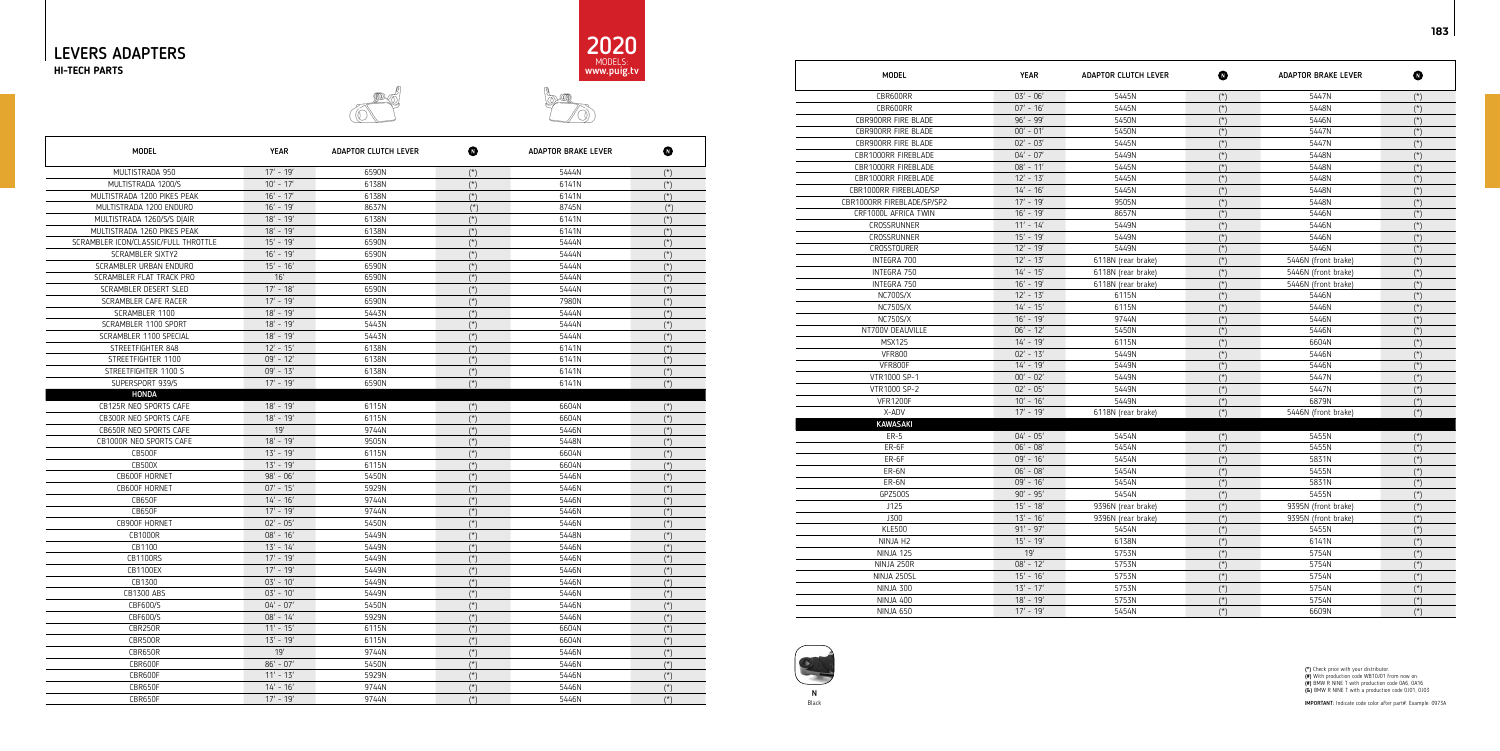







| <b>MODEL</b>               | <b>YEAR</b> | <b>ADAPTOR CLUTCH LEVER</b> | ❶                               | <b>ADAPTOR BRAKE LEVER</b> | $\bullet$                            |
|----------------------------|-------------|-----------------------------|---------------------------------|----------------------------|--------------------------------------|
| CBR600RR                   | $03' - 06'$ | 5445N                       | $(*)$                           | 5447N                      | $(*)$                                |
| CBR600RR                   | $07' - 16'$ | 5445N                       | $(*)$                           | 5448N                      | $(*)$                                |
| CBR900RR FIRE BLADE        | $96' - 99'$ | 5450N                       | $(*)$                           | 5446N                      | $(\star)$                            |
| CBR900RR FIRE BLADE        | $00' - 01'$ | 5450N                       | $(*)$                           | 5447N                      | $(*)$                                |
| CBR900RR FIRE BLADE        | $02' - 03'$ | 5445N                       | $(*)$                           | 5447N                      | $(\star)$                            |
| CBR1000RR FIREBLADE        | $04' - 07'$ | 5449N                       | $(*)$                           | 5448N                      | $(\star)$                            |
| CBR1000RR FIREBLADE        | $08' - 11'$ | 5445N                       | $(*)$                           | 5448N                      | $(\star)$                            |
| <b>CBR1000RR FIREBLADE</b> | $12' - 13'$ | 5445N                       | $(*)$                           | 5448N                      | $(*)$                                |
| CBR1000RR FIREBLADE/SP     | $14' - 16'$ | 5445N                       | $(\star)$                       | 5448N                      | $(\star)$                            |
| CBR1000RR FIREBLADE/SP/SP2 | $17' - 19'$ | 9505N                       | $(\star)$                       | 5448N                      | $(\dot{z})$                          |
| CRF1000L AFRICA TWIN       | $16' - 19'$ | 8657N                       | $(*)$                           | 5446N                      | $(\star)$                            |
| CROSSRUNNER                | $11' - 14'$ | 5449N                       | $(*)$                           | 5446N                      | $(\star)$                            |
| CROSSRUNNER                | $15' - 19'$ | 5449N                       | $(*)$                           | 5446N                      | $(\star)$                            |
| <b>CROSSTOURER</b>         | $12' - 19'$ | 5449N                       | $({}^*)$                        | 5446N                      | $(*)$                                |
| INTEGRA 700                | $12' - 13'$ | 6118N (rear brake)          | $(*)$                           | 5446N (front brake)        | $(*)$                                |
| INTEGRA 750                | $14' - 15'$ | 6118N (rear brake)          | $(*)$                           | 5446N (front brake)        | $(\dot{a})$                          |
| INTEGRA 750                | $16' - 19'$ | 6118N (rear brake)          | $(*)$                           | 5446N (front brake)        | $(\star)$                            |
| NC700S/X                   | $12' - 13'$ | 6115N                       | $(*)$                           | 5446N                      | $(\star)$                            |
| <b>NC750S/X</b>            | $14' - 15'$ | 6115N                       | $(*)$                           | 5446N                      | $(\star)$                            |
| <b>NC750S/X</b>            | $16' - 19'$ | 9744N                       | $(*)$                           | 5446N                      | $(\star)$                            |
| NT700V DEAUVILLE           | $06' - 12'$ | 5450N                       | $(*)$                           | 5446N                      | $(*)$                                |
| <b>MSX125</b>              | $14' - 19'$ | 6115N                       | $(*)$                           | 6604N                      | $(\star)$                            |
| <b>VFR800</b>              | $02' - 13'$ | 5449N                       | $(\star)$                       | 5446N                      | $(\star)$                            |
| VFR800F                    | $14' - 19'$ | 5449N                       | $(*)$                           | 5446N                      | $({}^{\star})$                       |
| VTR1000 SP-1               | $00' - 02'$ | 5449N                       | $(*)$                           | 5447N                      | $(\star)$                            |
| VTR1000 SP-2               | $02' - 05'$ | 5449N                       | $(*)$                           | 5447N                      | $(\star)$                            |
| <b>VFR1200F</b>            | $10' - 16'$ | 5449N                       | $(*)$                           | 6879N                      | $(*)$                                |
| X-ADV                      | $17' - 19'$ | 6118N (rear brake)          | $(\star)$                       | 5446N (front brake)        | $(\star)$                            |
| <b>KAWASAKI</b>            |             |                             |                                 |                            |                                      |
| $ER-5$                     | $04' - 05'$ | 5454N                       | $(*)$                           | 5455N                      | $(\star)$                            |
| ER-6F                      | $06' - 08'$ | 5454N                       | $(\star)$                       | 5455N                      | $(\star)$                            |
| $ER-6F$                    | $09' - 16'$ | 5454N                       | $\overline{(\overline{\cdot})}$ | 5831N                      | $\overline{(\overline{\mathbf{a}})}$ |
| ER-6N                      | $06' - 08'$ | 5454N                       | $(*)$                           | 5455N                      | $(*)$                                |
| ER-6N                      | $09' - 16'$ | 5454N                       | $(\star)$                       | 5831N                      | $(\star)$                            |
| GPZ500S                    | $90' - 95'$ | 5454N                       | $(*)$                           | 5455N                      | $({}^{\star})$                       |
| J125                       | $15' - 18'$ | 9396N (rear brake)          | $(*)$                           | 9395N (front brake)        | $(\star)$                            |
| J300                       | $13' - 16'$ | 9396N (rear brake)          | $(*)$                           | 9395N (front brake)        | $(\star)$                            |
| <b>KLE500</b>              | $91' - 97'$ | 5454N                       | $(*)$                           | 5455N                      | $({}^{\star})$                       |
| NINJA H2                   | $15' - 19'$ | 6138N                       | $(*)$                           | 6141N                      | $(\star)$                            |
| NINJA 125                  | 19'         | 5753N                       | $(*)$                           | 5754N                      | $(\star)$                            |
| NINJA 250R                 | $08' - 12'$ | 5753N                       | $(\star)$                       | 5754N                      | $(\star)$                            |
| NINJA 250SL                | $15' - 16'$ | 5753N                       | $(*)$                           | 5754N                      | $(\star)$                            |
| NINJA 300                  | $13' - 17'$ | 5753N                       | $(*)$                           | 5754N                      | $(\star)$                            |
| NINJA 400                  | $18' - 19'$ | 5753N                       | $(*)$                           | 5754N                      | $(\star)$                            |
| NINJA 650                  | $17' - 19'$ | 5454N                       | $(*)$                           | 6609N                      | $(*)$                                |

| MODEL                           |
|---------------------------------|
| CBR600RR                        |
| CBR600RR                        |
| <b>CBR900RR FIRE BLADE</b>      |
| <b>CBR900RR FIRE BLADE</b>      |
| <b>CBR900RR FIRE BLADE</b>      |
| CBR1000RR FIREBLADE             |
| <b>CBR1000RR FIREBLADE</b>      |
| <b>CBR1000RR FIREBLADE</b>      |
| CBR1000RR FIREBLADE/SP          |
| CBR1000RR FIREBLADE/SP/SP2      |
| CRF1000L AFRICA TWIN            |
| CROSSRUNNER                     |
| CROSSRUNNER                     |
| <b>CROSSTOURER</b>              |
| INTEGRA 700                     |
| INTEGRA 750                     |
| INTEGRA 750                     |
| <b>NC700S/X</b>                 |
| <b>NC750S/X</b>                 |
| <b>NC750S/X</b>                 |
| NT700V DEAUVILLE                |
| <b>MSX125</b>                   |
| <b>VFR800</b>                   |
| VFR800F                         |
| VTR1000 SP-1                    |
| VTR1000 SP-2<br><b>VFR1200F</b> |
| X-ADV                           |
| KAWASAKI                        |
| <b>ER-5</b>                     |
| ER-6F                           |
| ER-6F                           |
| ER-6N                           |
| ER-6N                           |
| GPZ500S                         |
| J125                            |
| J300                            |
| <b>KLE500</b>                   |
| NINJA H2                        |
| NINJA 125                       |
| NINJA 250R                      |
| NINJA 250SL                     |
| NINJA 300                       |
| NINJA 400                       |
| NINJA 650                       |
|                                 |

| <b>MODEL</b>                         | <b>YEAR</b> | ADAPTOR CLUTCH LEVER | ⋒              | ADAPTOR BRAKE LEVER | ◍              |
|--------------------------------------|-------------|----------------------|----------------|---------------------|----------------|
| MULTISTRADA 950                      | $17' - 19'$ | 6590N                | $(*)$          | 5444N               | $(*)$          |
| MULTISTRADA 1200/S                   | $10' - 17'$ | 6138N                | $(*)$          | 6141N               | $({}^*)$       |
| MULTISTRADA 1200 PIKES PEAK          | $16' - 17'$ | 6138N                | $(*)$          | 6141N               | $(\star)$      |
| MULTISTRADA 1200 ENDURO              | $16' - 19'$ | 8637N                | $({}^{\star})$ | 8745N               | $(\star)$      |
| MULTISTRADA 1260/S/S D AIR           | $18' - 19'$ | 6138N                | $(*)$          | 6141N               | $(*)$          |
| MULTISTRADA 1260 PIKES PEAK          | $18' - 19'$ | 6138N                | $(*)$          | 6141N               | $(*)$          |
| SCRAMBLER ICON/CLASSIC/FULL THROTTLE | $15' - 19'$ | 6590N                | $(*)$          | 5444N               | $(\star)$      |
| <b>SCRAMBLER SIXTY2</b>              | $16' - 19'$ | 6590N                | $(*)$          | 5444N               | $(*)$          |
| SCRAMBLER URBAN ENDURO               | $15' - 16'$ | 6590N                | $(*)$          | 5444N               | $(*)$          |
| SCRAMBLER FLAT TRACK PRO             | 16'         | 6590N                | $(*)$          | 5444N               | $(\star)$      |
| SCRAMBLER DESERT SLED                | $17' - 18'$ | 6590N                | $(*)$          | 5444N               | $(*)$          |
| SCRAMBLER CAFE RACER                 | $17' - 19'$ | 6590N                | $(*)$          | 7980N               | $(*)$          |
| SCRAMBLER 1100                       | $18' - 19'$ | 5443N                | $(*)$          | 5444N               | $(\star)$      |
| SCRAMBLER 1100 SPORT                 | $18' - 19'$ | 5443N                | $(*)$          | 5444N               | $(*)$          |
| SCRAMBLER 1100 SPECIAL               | $18' - 19'$ | 5443N                | $(*)$          | 5444N               | $(*)$          |
| STREETFIGHTER 848                    | $12' - 15'$ | 6138N                | $(*)$          | 6141N               | $(\star)$      |
| STREETFIGHTER 1100                   | $09' - 12'$ | 6138N                | $(*)$          | 6141N               | $(*)$          |
| STREETFIGHTER 1100 S                 | $09' - 13'$ | 6138N                | $(*)$          | 6141N               | $({}^*)$       |
| SUPERSPORT 939/S                     | $17' - 19'$ | 6590N                | $(*)$          | 6141N               | $(\star)$      |
| <b>HONDA</b>                         |             |                      |                |                     |                |
| CB125R NEO SPORTS CAFE               | $18' - 19'$ | 6115N                | $(*)$          | 6604N               | $(\star)$      |
| CB300R NEO SPORTS CAFE               | $18' - 19'$ | 6115N                | $(*)$          | 6604N               | $(*)$          |
| CB650R NEO SPORTS CAFE               | 19'         | 9744N                | $(\star)$      | 5446N               | $(\star)$      |
| CB1000R NEO SPORTS CAFE              | $18' - 19'$ | 9505N                | $({}^*)$       | 5448N               | $({}^*)$       |
| <b>CB500F</b>                        | $13' - 19'$ | 6115N                | $({}^*)$       | 6604N               | $(*)$          |
| <b>CB500X</b>                        | $13' - 19'$ | 6115N                | $(*)$          | 6604N               | $(*)$          |
| CB600F HORNET                        | $98' - 06'$ | 5450N                | $({}^*)$       | 5446N               | $(*)$          |
| CB600F HORNET                        | $07' - 15'$ | 5929N                | $({}^*)$       | 5446N               | $({}^*)$       |
| <b>CB650F</b>                        | $14' - 16'$ | 9744N                | $(*)$          | 5446N               | $(\star)$      |
| <b>CB650F</b>                        | $17' - 19'$ | 9744N                | $(*)$          | 5446N               | $(*)$          |
| CB900F HORNET                        | $02' - 05'$ | 5450N                | $(*)$          | 5446N               | $(*)$          |
| <b>CB1000R</b>                       | $08' - 16'$ | 5449N                | $(*)$          | 5448N               | $($ *)         |
| CB1100                               | $13' - 14'$ | 5449N                | $({}^{\star})$ | 5446N               | $(\star)$      |
| <b>CB1100RS</b>                      | $17' - 19'$ | 5449N                | $(*)$          | 5446N               | $(*)$          |
| <b>CB1100EX</b>                      | $17' - 19'$ | 5449N                | $(*)$          | 5446N               | $(\star)$      |
| CB1300                               | $03' - 10'$ | 5449N                | $(*)$          | 5446N               | $(*)$          |
| <b>CB1300 ABS</b>                    | $03' - 10'$ | 5449N                | $(*)$          | 5446N               | $(*)$          |
| CBF600/S                             | $04' - 07'$ | 5450N                | $(*)$          | 5446N               | $(*)$          |
| CBF600/S                             | $08' - 14'$ | 5929N                | $(\star)$      | 5446N               | $(*)$          |
| CBR250R                              | $11' - 15'$ | 6115N                | $(\star)$      | 6604N               | $({}^{\star})$ |
| CBR500R                              | $13' - 19'$ | 6115N                | $(\star)$      | 6604N               | $(*)$          |
| CBR650R                              | 19'         | 9744N                | $(\star)$      | 5446N               | $({}^{\star})$ |
| CBR600F                              | $86' - 07'$ | 5450N                | $(\star)$      | 5446N               | $(\star)$      |
| CBR600F                              | $11' - 13'$ | 5929N                | $(\star)$      | 5446N               | $(\star)$      |
| CBR650F                              | $14' - 16'$ | 9744N                | $(\star)$      | 5446N               | $({}^{\star})$ |
| CBR650F                              | $17' - 19'$ | 9744N                | $({}^{\star})$ | 5446N               | $({}^{\star})$ |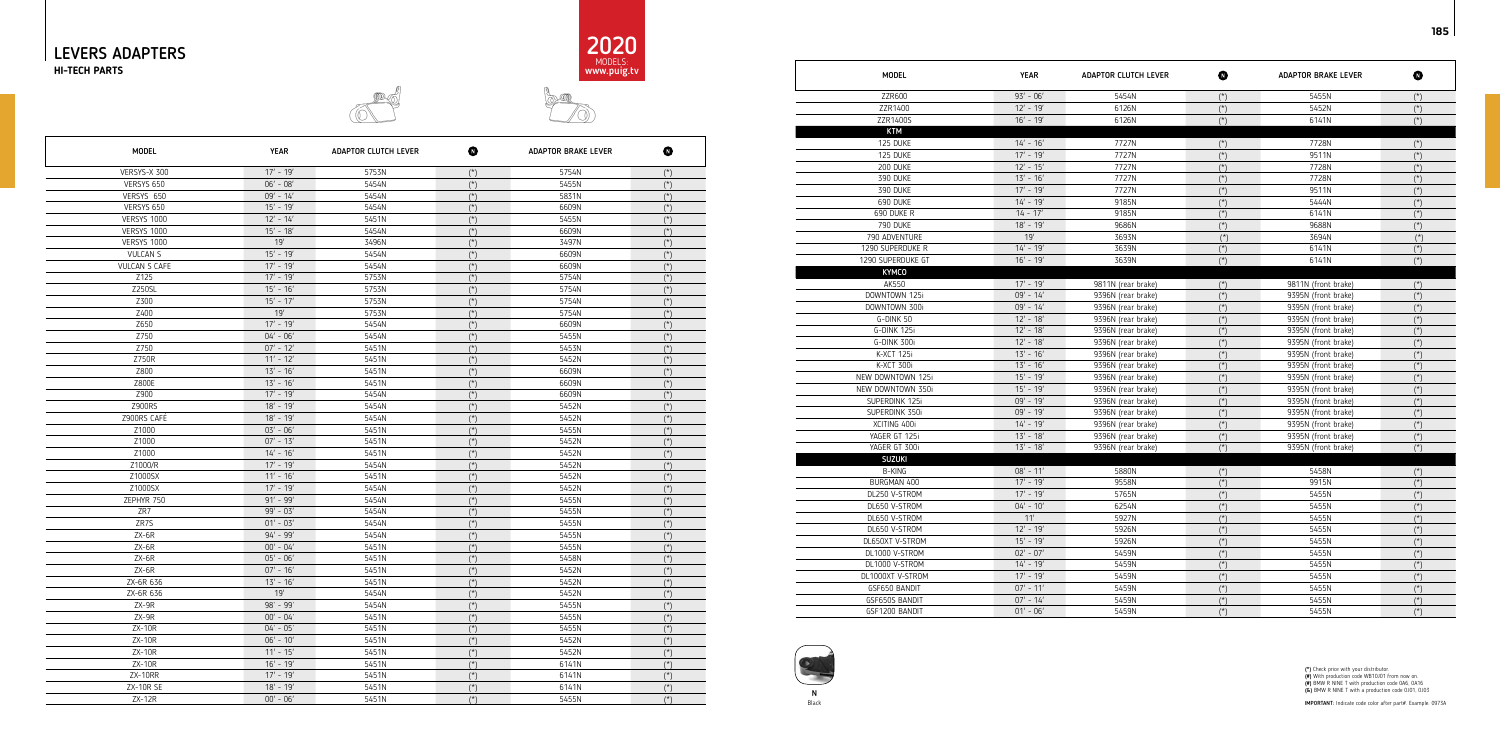





# $\sim$

| MODEL                                 |
|---------------------------------------|
| ZZR600                                |
| ZZR1400                               |
| ZZR1400S                              |
| <b>KTM</b>                            |
| 125 DUKE                              |
| 125 DUKE                              |
| 200 DUKE                              |
| 390 DUKE                              |
| 390 DUKE                              |
| 690 DUKE                              |
| 690 DUKE R                            |
| <b>790 DUKE</b>                       |
| 790 ADVENTURE                         |
| 1290 SUPERDUKE R<br>1290 SUPERDUKE GT |
| <b>KYMCO</b>                          |
| AK550                                 |
| DOWNTOWN 125i                         |
| DOWNTOWN 300i                         |
| G-DINK 50                             |
| G-DINK 125i                           |
| G-DINK 300i                           |
| K-XCT 125i                            |
| K-XCT 300i                            |
| NEW DOWNTOWN 125i                     |
| NEW DOWNTOWN 350i                     |
| SUPERDINK 125i                        |
| SUPERDINK 350i                        |
| XCITING 400i                          |
| YAGER GT 125i                         |
| YAGER GT 300i                         |
| <b>SUZUKI</b>                         |
| <b>B-KING</b>                         |
| BURGMAN 400                           |
| DL250 V-STROM                         |
| DL650 V-STROM                         |
| DL650 V-STROM                         |
| DL650 V-STROM                         |
| DL650XT V-STROM<br>DL1000 V-STROM     |
| DL1000 V-STROM                        |
| DL1000XT V-STROM                      |
| GSF650 BANDIT                         |
| GSF650S BANDIT                        |
| GSF1200 BANDIT                        |
|                                       |

| <b>MODEL</b>      | <b>YEAR</b> | ADAPTOR CLUTCH LEVER | $\bullet$      | <b>ADAPTOR BRAKE LEVER</b> | $\bf \Phi$     |
|-------------------|-------------|----------------------|----------------|----------------------------|----------------|
| ZZR600            | $93' - 06'$ | 5454N                | $(*)$          | 5455N                      | $(*)$          |
| ZZR1400           | $12' - 19'$ | 6126N                | $(*)$          | 5452N                      | $({}^{\star})$ |
| ZZR1400S          | $16' - 19'$ | 6126N                | $(*)$          | 6141N                      | $(\star)$      |
| <b>KTM</b>        |             |                      |                |                            |                |
| 125 DUKE          | $14' - 16'$ | 7727N                | $(*)$          | 7728N                      |                |
| 125 DUKE          | $17' - 19'$ | 7727N                | $(*)$          | 9511N                      | $({}^{\star})$ |
| 200 DUKE          | $12' - 15'$ | 7727N                | $(*)$          | 7728N                      | $({}^{\star})$ |
| 390 DUKE          | $13' - 16'$ | 7727N                | $(\star)$      | 7728N                      | $(\star)$      |
| 390 DUKE          | $17' - 19'$ | 7727N                | $(*)$          | 9511N                      | $({}^*)$       |
| 690 DUKE          | $14' - 19'$ | 9185N                | $(*)$          | 5444N                      | $(*)$          |
| 690 DUKE R        | $14 - 17'$  | 9185N                | $(*)$          | 6141N                      | $(*)$          |
| 790 DUKE          | $18' - 19'$ | 9686N                | $(\star)$      | 9688N                      | $(*)$          |
| 790 ADVENTURE     | 19'         | 3693N                | $(*)$          | 3694N                      | $(*)$          |
| 1290 SUPERDUKE R  | $14' - 19'$ | 3639N                | $(\star)$      | 6141N                      | $({}^{\star})$ |
| 1290 SUPERDUKE GT | $16' - 19'$ | 3639N                | $(*)$          | 6141N                      | $(*)$          |
| <b>KYMCO</b>      |             |                      |                |                            |                |
| AK550             | $17' - 19'$ | 9811N (rear brake)   | $(\star)$      | 9811N (front brake)        | $(\star)$      |
| DOWNTOWN 125i     | $09' - 14'$ | 9396N (rear brake)   | $(\star)$      | 9395N (front brake)        | $(\star)$      |
| DOWNTOWN 300i     | $09' - 14'$ | 9396N (rear brake)   | $(*)$          | 9395N (front brake)        | $(\star)$      |
| G-DINK 50         | $12' - 18'$ | 9396N (rear brake)   | $(*)$          | 9395N (front brake)        | $(*)$          |
| G-DINK 125i       | $12' - 18'$ | 9396N (rear brake)   | $(\star)$      | 9395N (front brake)        | $(*)$          |
| G-DINK 300i       | $12' - 18'$ | 9396N (rear brake)   | $(*)$          | 9395N (front brake)        | $(*)$          |
| K-XCT 125i        | $13' - 16'$ | 9396N (rear brake)   | $(*)$          | 9395N (front brake)        | $(*)$          |
| K-XCT 300i        | $13' - 16'$ | 9396N (rear brake)   | $(\star)$      | 9395N (front brake)        | $(*)$          |
| NEW DOWNTOWN 125i | $15' - 19'$ | 9396N (rear brake)   | $(\star)$      | 9395N (front brake)        | $(*)$          |
| NEW DOWNTOWN 350i | $15' - 19'$ | 9396N (rear brake)   | $(\star)$      | 9395N (front brake)        | $({}^{\star})$ |
| SUPERDINK 125i    | $09' - 19'$ | 9396N (rear brake)   | $(\star)$      | 9395N (front brake)        | $(\star)$      |
| SUPERDINK 350i    | $09' - 19'$ | 9396N (rear brake)   | $(*)$          | 9395N (front brake)        | $({}^{\star})$ |
| XCITING 400i      | $14' - 19'$ | 9396N (rear brake)   | $(*)$          | 9395N (front brake)        | $(*)$          |
| YAGER GT 125i     | $13' - 18'$ | 9396N (rear brake)   | $(*)$          | 9395N (front brake)        | $(*)$          |
| YAGER GT 300i     | $13' - 18'$ | 9396N (rear brake)   | $(\star)$      | 9395N (front brake)        | $(*)$          |
| <b>SUZUKI</b>     |             |                      |                |                            |                |
| <b>B-KING</b>     | $08' - 11'$ | 5880N                | $(\star)$      | 5458N                      | $(*)$          |
| BURGMAN 400       | $17' - 19'$ | 9558N                | $(*)$          | 9915N                      | $({}^{\star})$ |
| DL250 V-STROM     | $17' - 19'$ | 5765N                | $(\star)$      | 5455N                      | $({}^{\star})$ |
| DL650 V-STROM     | $04' - 10'$ | 6254N                | $(*)$          | 5455N                      | $(*)$          |
| DL650 V-STROM     | 11'         | 5927N                | $(\dot{a})$    | 5455N                      | $(\dot{ }^*)$  |
| DL650 V-STROM     | $12' - 19'$ | 5926N                | $(\star)$      | 5455N                      | $(*)$          |
| DL650XT V-STROM   | $15' - 19'$ | 5926N                | $({}^{\star})$ | 5455N                      | $(*)$          |
| DL1000 V-STROM    | $02' - 07'$ | 5459N                | $({}^{\star})$ | 5455N                      | $(\star)$      |
| DL1000 V-STROM    | $14' - 19'$ | 5459N                | $(\star)$      | 5455N                      | $(*)$          |
| DL1000XT V-STROM  | $17' - 19'$ | 5459N                | $(\star)$      | 5455N                      | $(\dot{z})$    |
| GSF650 BANDIT     | $07' - 11'$ | 5459N                | $(\star)$      | 5455N                      | $(\dot{a})$    |
| GSF650S BANDIT    | $07' - 14'$ | 5459N                | $(\star)$      | 5455N                      | $(\star)$      |
| GSF1200 BANDIT    | $01' - 06'$ | 5459N                | $(*)$          | 5455N                      | $(*)$          |

| <b>MODEL</b>       | <b>YEAR</b> | <b>ADAPTOR CLUTCH LEVER</b> | $\bf\Phi$      | <b>ADAPTOR BRAKE LEVER</b> | $\bf \Phi$     |
|--------------------|-------------|-----------------------------|----------------|----------------------------|----------------|
| VERSYS-X 300       | $17' - 19'$ | 5753N                       | $(*)$          | 5754N                      | $({}^*)$       |
| VERSYS 650         | $06' - 08'$ | 5454N                       | $(*)$          | 5455N                      | $(\star)$      |
| VERSYS 650         | $09' - 14'$ | 5454N                       | $(*)$          | 5831N                      | $(\star)$      |
| VERSYS 650         | $15' - 19'$ | 5454N                       | $(*)$          | 6609N                      | $(*)$          |
| <b>VERSYS 1000</b> | $12' - 14'$ | 5451N                       | $(*)$          | 5455N                      | $(*)$          |
| <b>VERSYS 1000</b> | $15' - 18'$ | 5454N                       | $(*)$          | 6609N                      | $(\star)$      |
| <b>VERSYS 1000</b> | 19'         | 3496N                       | $(*)$          | 3497N                      | $(*)$          |
| <b>VULCAN S</b>    | $15' - 19'$ | 5454N                       | $(*)$          | 6609N                      | $(\star)$      |
| VULCAN S CAFE      | $17' - 19'$ | 5454N                       | $(\star)$      | 6609N                      | $(\dot{a})$    |
| Z125               | $17' - 19'$ | 5753N                       | $(*)$          | 5754N                      | $(*)$          |
| Z250SL             | $15' - 16'$ | 5753N                       | $(*)$          | 5754N                      | $(*)$          |
| Z300               | $15' - 17'$ | 5753N                       | $(*)$          | 5754N                      | $(\star)$      |
| Z400               | 19'         | 5753N                       | $(*)$          | 5754N                      | $(*)$          |
| Z650               | $17' - 19'$ | 5454N                       | $(*)$          | 6609N                      | $(\star)$      |
| Z750               | $04' - 06'$ | 5454N                       | $(*)$          | 5455N                      | $(\star)$      |
| Z750               | $07' - 12'$ | 5451N                       | $(*)$          | 5453N                      | $(\star)$      |
| Z750R              | $11' - 12'$ | 5451N                       | $(*)$          | 5452N                      | $(*)$          |
| Z800               | $13' - 16'$ | 5451N                       | $(*)$          | 6609N                      | $({}^{\star})$ |
| Z800E              | $13' - 16'$ | 5451N                       | $(*)$          | 6609N                      | $(\dot{a})$    |
| Z900               | $17' - 19'$ | 5454N                       | $({}^{\star})$ | 6609N                      | $(*)$          |
| Z900RS             | $18' - 19'$ | 5454N                       | $(*)$          | 5452N                      | $(*)$          |
| Z900RS CAFÉ        | $18' - 19'$ | 5454N                       | $(\star)$      | 5452N                      | $(\dot{z})$    |
| Z1000              | $03' - 06'$ | 5451N                       | $(*)$          | 5455N                      | $({}^{\star})$ |
| Z1000              | $07' - 13'$ | 5451N                       | $(*)$          | 5452N                      | $(*)$          |
| Z1000              | $14' - 16'$ | 5451N                       | $(*)$          | 5452N                      | $(\star)$      |
| Z1000/R            | $17' - 19'$ | 5454N                       | $(*)$          | 5452N                      | $(\star)$      |
| Z1000SX            | $11' - 16'$ | 5451N                       | $(*)$          | 5452N                      | $(\dot{z})$    |
| Z1000SX            | $17' - 19'$ | 5454N                       | $(*)$          | 5452N                      | $(\star)$      |
| ZEPHYR 750         | $91' - 99'$ | 5454N                       | $(*)$          | 5455N                      | $(*)$          |
| ZR7                | $99' - 03'$ | 5454N                       | $(*)$          | 5455N                      | $(*)$          |
| ZR7S               | $01' - 03'$ | 5454N                       | $(*)$          | 5455N                      | $(\star)$      |
| ZX-6R              | $94' - 99'$ | 5454N                       | $(\star)$      | 5455N                      | $(\dot{z})$    |
| $ZX-6R$            | $00' - 04'$ | 5451N                       | $({}^*)$       | 5455N                      | $(\dot{z})$    |
| $ZX-6R$            | $05' - 06'$ | 5451N                       | $(\star)$      | 5458N                      | $(\star)$      |
| $ZX-6R$            | $07' - 16'$ | 5451N                       | $(\star)$      | 5452N                      | $(\star)$      |
| ZX-6R 636          | $13' - 16'$ | 5451N                       | $({}^{\star})$ | 5452N                      | $({}^{\star})$ |
| ZX-6R 636          | 19'         | 5454N                       | $(*)$          | 5452N                      | $(\star)$      |
| $ZX-9R$            | 98' - 99'   | 5454N                       | $(\star)$      | 5455N                      | $(*)$          |
| $ZX-9R$            | $00' - 04'$ | 5451N                       | $(\star)$      | 5455N                      | $(\star)$      |
| $ZX-10R$           | $04' - 05'$ | 5451N                       | $(\star)$      | 5455N                      | $({}^{\star})$ |
| ZX-10R             | $06' - 10'$ | 5451N                       | $(\star)$      | 5452N                      | $(\star)$      |
| $ZX-10R$           | $11' - 15'$ | 5451N                       | $(\star)$      | 5452N                      | $(\star)$      |
| $ZX-10R$           | $16' - 19'$ | 5451N                       | $(\star)$      | 6141N                      | $(\star)$      |
| ZX-10RR            | $17' - 19'$ | 5451N                       | $(\star)$      | 6141N                      | $({}^{\star})$ |
| <b>ZX-10R SE</b>   | $18' - 19'$ | 5451N                       | $(\star)$      | 6141N                      | $(\star)$      |
| $ZX-12R$           | $00' - 06'$ | 5451N                       | $(\star)$      | 5455N                      | $(\star)$      |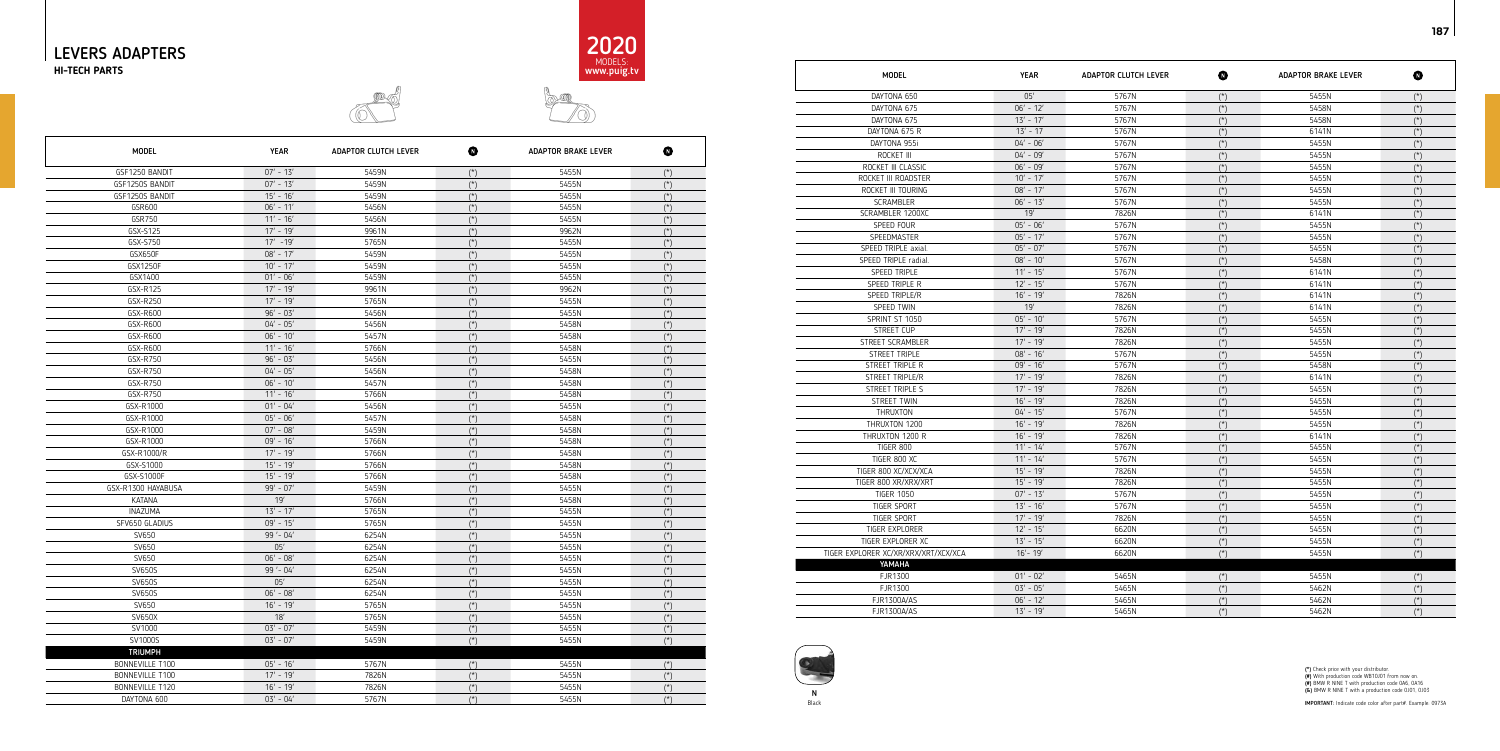



IMPORTANT: Indicate code color after part#. Example: 0973A



### $\mathcal{D}$ bon

| <b>MODEL</b>                         | <b>YEAR</b> | <b>ADAPTOR CLUTCH LEVER</b> | Ø              | <b>ADAPTOR BRAKE LEVER</b> | $\bf \Phi$     |
|--------------------------------------|-------------|-----------------------------|----------------|----------------------------|----------------|
| DAYTONA 650                          | 05'         | 5767N                       | $(\star)$      | 5455N                      | $(*)$          |
| DAYTONA 675                          | $06' - 12'$ | 5767N                       | $(*)$          | 5458N                      | $(*)$          |
| DAYTONA 675                          | $13' - 17'$ | 5767N                       | $(*)$          | 5458N                      | $(*)$          |
| DAYTONA 675 R                        | $13' - 17$  | 5767N                       | $({}^{\star})$ | 6141N                      | $(*)$          |
| DAYTONA 955i                         | $04' - 06'$ | 5767N                       | $(*)$          | 5455N                      | $(\star)$      |
| ROCKET III                           | $04' - 09'$ | 5767N                       | $(\dot{ }^*)$  | 5455N                      | $(\star)$      |
| ROCKET III CLASSIC                   | $06' - 09'$ | 5767N                       | $(\star)$      | 5455N                      | $(\star)$      |
| ROCKET III ROADSTER                  | $10' - 17'$ | 5767N                       | $(*)$          | 5455N                      | $(*)$          |
| ROCKET III TOURING                   | $08' - 17'$ | 5767N                       | $(\star)$      | 5455N                      | $(\star)$      |
| <b>SCRAMBLER</b>                     | $06' - 13'$ | 5767N                       | $(*)$          | 5455N                      | $(\star)$      |
| SCRAMBLER 1200XC                     | 19'         | 7826N                       | $(*)$          | 6141N                      | $(\star)$      |
| SPEED FOUR                           | $05' - 06'$ | 5767N                       | $(\dot{a})$    | 5455N                      | $(\star)$      |
| SPEEDMASTER                          | $05' - 17'$ | 5767N                       | $(*)$          | 5455N                      | $(\star)$      |
| SPEED TRIPLE axial.                  | $05' - 07'$ | 5767N                       | $(\dot{z})$    | 5455N                      | $(\star)$      |
| SPEED TRIPLE radial.                 | $08' - 10'$ | 5767N                       | $({}^{\star})$ | 5458N                      | $(\star)$      |
| SPEED TRIPLE                         | $11' - 15'$ | 5767N                       | $(*)$          | 6141N                      | $({}^{\star})$ |
| SPEED TRIPLE R                       | $12' - 15'$ | 5767N                       | $(*)$          | 6141N                      | $(\star)$      |
| SPEED TRIPLE/R                       | $16' - 19'$ | 7826N                       | $(\dot{a})$    | 6141N                      | $(\star)$      |
| SPEED TWIN                           | 19'         | 7826N                       | $(\dot{a})$    | 6141N                      | $(\star)$      |
| SPRINT ST 1050                       | $05' - 10'$ | 5767N                       | $(*)$          | 5455N                      | $(*)$          |
| STREET CUP                           | $17' - 19'$ | 7826N                       | $(*)$          | 5455N                      | $(\star)$      |
| STREET SCRAMBLER                     | $17' - 19'$ | 7826N                       | $(*)$          | 5455N                      | $(*)$          |
| STREET TRIPLE                        | $08' - 16'$ | 5767N                       | $({}^*)$       | 5455N                      | $(*)$          |
| STREET TRIPLE R                      | $09' - 16'$ | 5767N                       | $(\dot{z})$    | 5458N                      | $(\star)$      |
| STREET TRIPLE/R                      | $17' - 19'$ | 7826N                       | $(*)$          | 6141N                      | $(\star)$      |
| STREET TRIPLE S                      | $17' - 19'$ | 7826N                       | $(\dot{z})$    | 5455N                      | $(*)$          |
| STREET TWIN                          | $16' - 19'$ | 7826N                       | $(*)$          | 5455N                      | $({}^{\star})$ |
| THRUXTON                             | $04' - 15'$ | 5767N                       | $(*)$          | 5455N                      | $(*)$          |
| THRUXTON 1200                        | $16' - 19'$ | 7826N                       | $(*)$          | 5455N                      | $(*)$          |
| THRUXTON 1200 R                      | $16' - 19'$ | 7826N                       | $(\dot{a})$    | 6141N                      | $(\star)$      |
| <b>TIGER 800</b>                     | $11' - 14'$ | 5767N                       | $(\star)$      | 5455N                      | $(\star)$      |
| TIGER 800 XC                         | $11' - 14'$ | 5767N                       | $(*)$          | 5455N                      | $(\star)$      |
| TIGER 800 XC/XCX/XCA                 | $15' - 19'$ | 7826N                       | $(\dot{a})$    | 5455N                      | $(\star)$      |
| TIGER 800 XR/XRX/XRT                 | $15' - 19'$ | 7826N                       | $(*)$          | 5455N                      | $({}^{\star})$ |
| <b>TIGER 1050</b>                    | $07' - 13'$ | 5767N                       | $(*)$          | 5455N                      | $(\star)$      |
| <b>TIGER SPORT</b>                   | $13' - 16'$ | 5767N                       | $(\dot{a})$    | 5455N                      | $(\star)$      |
| <b>TIGER SPORT</b>                   | $17' - 19'$ | 7826N                       | $(*)$          | 5455N                      | $(\star)$      |
| TIGER EXPLORER                       | $12' - 15'$ | 6620N                       | $(\dot{a})$    | 5455N                      | $(\star)$      |
| TIGER EXPLORER XC                    | $13' - 15'$ | 6620N                       | $(*)$          | 5455N                      | $(\star)$      |
| TIGER EXPLORER XC/XR/XRX/XRT/XCX/XCA | $16' - 19'$ | 6620N                       | $({}^{\star})$ | 5455N                      | $(*)$          |
| YAMAHA                               |             |                             |                |                            |                |
| FJR1300                              | $01' - 02'$ | 5465N                       | $(\star)$      | 5455N                      | $(\star)$      |
| FJR1300                              | $03' - 05'$ | 5465N                       | $(\dot{a})$    | 5462N                      | $(\star)$      |
| FJR1300A/AS                          | $06' - 12'$ | 5465N                       | $(\star)$      | 5462N                      | $(\star)$      |
| <b>FJR1300A/AS</b>                   | $13' - 19'$ | 5465N                       | $(*)$          | 5462N                      | $(*)$          |

(\*) Check price with your distributor.<br>(#) With production code WB10J01 from now on.<br>(#) BMW R NINE T with production code 0A6, 0A16<br>(&) BMW R NINE T with a production code 0J01, 0J03

| MODEL                            |
|----------------------------------|
| DAYTONA 650                      |
| DAYTONA 675                      |
| DAYTONA 675                      |
| DAYTONA 675 R                    |
| DAYTONA 955i                     |
| ROCKET III                       |
| ROCKET III CLASSIC               |
| ROCKET III ROADSTER              |
| ROCKET III TOURING               |
| <b>SCRAMBLER</b>                 |
| SCRAMBLER 1200XC                 |
| SPEED FOUR                       |
| SPEEDMASTER                      |
| SPEED TRIPLE axial.              |
| SPEED TRIPLE radial.             |
| <b>SPEED TRIPLE</b>              |
| SPEED TRIPLE R                   |
| SPEED TRIPLE/R                   |
| SPEED TWIN                       |
| SPRINT ST 1050                   |
| <b>STREET CUP</b>                |
| STREET SCRAMBLER                 |
| <b>STREET TRIPLE</b>             |
| STREET TRIPLE R                  |
| STREET TRIPLE/R                  |
| <b>STREET TRIPLE S</b>           |
| STREET TWIN                      |
| <b>THRUXTON</b>                  |
| THRUXTON 1200                    |
| THRUXTON 1200 R                  |
| <b>TIGER 800</b>                 |
| TIGER 800 XC                     |
| TIGER 800 XC/XCX/XCA             |
| TIGER 800 XR/XRX/XRT             |
| <b>TIGER 1050</b>                |
| TIGER SPORT                      |
| <b>TIGER SPORT</b>               |
| <b>TIGER EXPLORER</b>            |
| TIGER EXPLORER XC                |
| TIGER EXPLORER XC/XR/XRX/XRT/XC) |
| YAMAHA                           |
| FJR1300                          |
| FJR1300                          |
| <b>FJR1300A/AS</b>               |
| <b>FJR1300A/AS</b>               |
|                                  |

| <b>MODEL</b>       | <b>YEAR</b> | <b>ADAPTOR CLUTCH LEVER</b> | ❶              | <b>ADAPTOR BRAKE LEVER</b> | ❶              |
|--------------------|-------------|-----------------------------|----------------|----------------------------|----------------|
| GSF1250 BANDIT     | $07' - 13'$ | 5459N                       | $(*)$          | 5455N                      | $(*)$          |
| GSF1250S BANDIT    | $07' - 13'$ | 5459N                       | $(\star)$      | 5455N                      | $(\star)$      |
| GSF1250S BANDIT    | $15' - 16'$ | 5459N                       | $(*)$          | 5455N                      | $(\star)$      |
| GSR600             | $06' - 11'$ | 5456N                       | $(*)$          | 5455N                      | $(*)$          |
| GSR750             | $11' - 16'$ | 5456N                       | $(\star)$      | 5455N                      | $(\star)$      |
| GSX-S125           | $17' - 19'$ | 9961N                       | $(\star)$      | 9962N                      | $(*)$          |
| GSX-S750           | $17' - 19'$ | 5765N                       | $(*)$          | 5455N                      | $(*)$          |
| GSX650F            | $08' - 17'$ | 5459N                       | $(\star)$      | 5455N                      | $(*)$          |
| GSX1250F           | $10' - 17'$ | 5459N                       | $(*)$          | 5455N                      | $(*)$          |
| GSX1400            | $01' - 06'$ | 5459N                       | $({}^{\star})$ | 5455N                      | $(*)$          |
| GSX-R125           | $17' - 19'$ | 9961N                       | $({}^{\star})$ | 9962N                      | $(\star)$      |
| GSX-R250           | $17' - 19'$ | 5765N                       | $(*)$          | 5455N                      | $(*)$          |
| GSX-R600           | $96' - 03'$ | 5456N                       | $(*)$          | 5455N                      | $(*)$          |
| GSX-R600           | $04' - 05'$ | 5456N                       | $(*)$          | 5458N                      | $(*)$          |
| GSX-R600           | $06' - 10'$ | 5457N                       | $(\star)$      | 5458N                      | $(\star)$      |
| GSX-R600           | $11' - 16'$ | 5766N                       | $(*)$          | 5458N                      | $(*)$          |
| GSX-R750           | $96' - 03'$ | 5456N                       | $(\star)$      | 5455N                      | $(*)$          |
| GSX-R750           | $04' - 05'$ | 5456N                       | $(\star)$      | 5458N                      | $(\star)$      |
| GSX-R750           | $06' - 10'$ | 5457N                       | $(\star)$      | 5458N                      | $(\star)$      |
| GSX-R750           | $11' - 16'$ | 5766N                       | $(*)$          | 5458N                      | $(*)$          |
| GSX-R1000          | $01' - 04'$ | 5456N                       | $(\star)$      | 5455N                      | $(\star)$      |
| GSX-R1000          | $05' - 06'$ | 5457N                       | $(\star)$      | 5458N                      | $(\star)$      |
| GSX-R1000          | $07' - 08'$ | 5459N                       | $(*)$          | 5458N                      | $(*)$          |
| GSX-R1000          | $09' - 16'$ | 5766N                       | $(*)$          | 5458N                      | $(\star)$      |
| GSX-R1000/R        | $17' - 19'$ | 5766N                       | $(\star)$      | 5458N                      | $(\star)$      |
| GSX-S1000          | $15' - 19'$ | 5766N                       | $({}^{\star})$ | 5458N                      | $({}^{\star})$ |
| GSX-S1000F         | $15' - 19'$ | 5766N                       | $(\star)$      | 5458N                      | $(*)$          |
| GSX-R1300 HAYABUSA | $99' - 07'$ | 5459N                       | $(\star)$      | 5455N                      | $(\star)$      |
| KATANA             | 19'         | 5766N                       | $({}^{\star})$ | 5458N                      | $(\star)$      |
| <b>INAZUMA</b>     | $13' - 17'$ | 5765N                       | $({}^{\star})$ | 5455N                      | $({}^{\star})$ |
| SFV650 GLADIUS     | $09' - 15'$ | 5765N                       | $(\star)$      | 5455N                      | $(\star)$      |
| SV650              | 99'-04'     | 6254N                       | $(\star)$      | 5455N                      | $(*)$          |
| SV650              | 05'         | 6254N                       | $({}^{\star})$ | 5455N                      | $(*)$          |
| SV650              | $06' - 08'$ | 6254N                       | $(\star)$      | 5455N                      | $(\star)$      |
| <b>SV650S</b>      | 99'-04'     | 6254N                       | $(\star)$      | 5455N                      | $(*)$          |
| <b>SV650S</b>      | 05'         | 6254N                       | $({}^{\star})$ | 5455N                      | $(*)$          |
| SV650S             | $06' - 08'$ | 6254N                       | $(\star)$      | 5455N                      | $(*)$          |
| SV650              | $16' - 19'$ | 5765N                       | $(*)$          | 5455N                      | $(\star)$      |
| SV650X             | $18'$       | 5765N                       | $({}^{\star})$ | 5455N                      | $(*)$          |
| SV1000             | $03' - 07'$ | 5459N                       | $(\star)$      | 5455N                      | $(\star)$      |
| SV1000S            | $03' - 07'$ | 5459N                       | $(\star)$      | 5455N                      | $(\star)$      |
| <b>TRIUMPH</b>     |             |                             |                |                            |                |
| BONNEVILLE T100    | $05' - 16'$ | 5767N                       | $(\star)$      | 5455N                      | $(*)$          |
| BONNEVILLE T100    | $17' - 19'$ | 7826N                       | $(\star)$      | 5455N                      | $(\star)$      |
| BONNEVILLE T120    | $16' - 19'$ | 7826N                       | $(\star)$      | 5455N                      | $(\star)$      |
| DAYTONA 600        | $03' - 04'$ | 5767N                       | $(\star)$      | 5455N                      | $(*)$          |